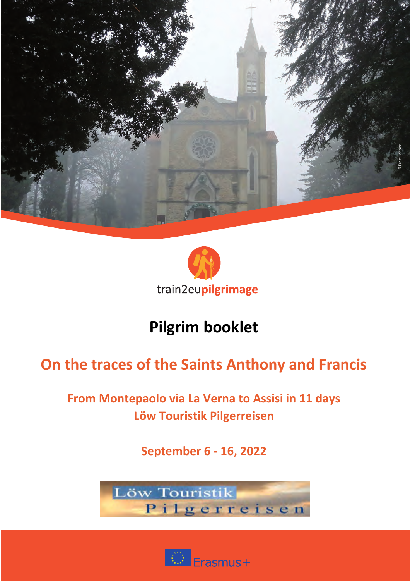



## **On the traces of the Saints Anthony and Francis**

## **From Montepaolo via La Verna to Assisi in 11 days Löw Touristik Pilgerreisen**

**September 6 - 16, 2022**



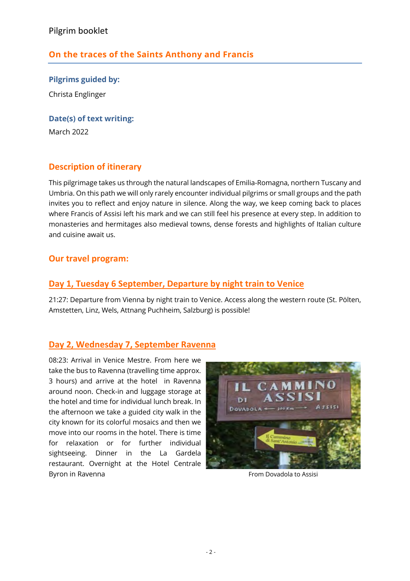## **On the traces of the Saints Anthony and Francis**

**Pilgrims guided by:** Christa Englinger

**Date(s) of text writing:**

March 2022

## **Description of itinerary**

This pilgrimage takes us through the natural landscapes of Emilia-Romagna, northern Tuscany and Umbria. On this path we will only rarely encounter individual pilgrims or small groups and the path invites you to reflect and enjoy nature in silence. Along the way, we keep coming back to places where Francis of Assisi left his mark and we can still feel his presence at every step. In addition to monasteries and hermitages also medieval towns, dense forests and highlights of Italian culture and cuisine await us.

## **Our travel program:**

### **Day 1, Tuesday 6 September, Departure by night train to Venice**

21:27: Departure from Vienna by night train to Venice. Access along the western route (St. Pölten, Amstetten, Linz, Wels, Attnang Puchheim, Salzburg) is possible!

## **Day 2, Wednesday 7, September Ravenna**

08:23: Arrival in Venice Mestre. From here we take the bus to Ravenna (travelling time approx. 3 hours) and arrive at the hotel in Ravenna around noon. Check-in and luggage storage at the hotel and time for individual lunch break. In the afternoon we take a guided city walk in the city known for its colorful mosaics and then we move into our rooms in the hotel. There is time for relaxation or for further individual sightseeing. Dinner in the La Gardela restaurant. Overnight at the Hotel Centrale Byron in Ravenna From Dovadola to Assisi

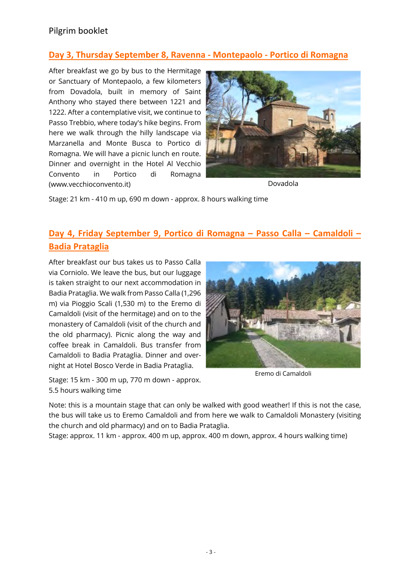## **Day 3, Thursday September 8, Ravenna - Montepaolo - Portico di Romagna**

After breakfast we go by bus to the Hermitage or Sanctuary of Montepaolo, a few kilometers from Dovadola, built in memory of Saint Anthony who stayed there between 1221 and 1222. After a contemplative visit, we continue to Passo Trebbio, where today's hike begins. From here we walk through the hilly landscape via Marzanella and Monte Busca to Portico di Romagna. We will have a picnic lunch en route. Dinner and overnight in the Hotel Al Vecchio Convento in Portico di Romagna (www.vecchioconvento.it)



Dovadola

Stage: 21 km - 410 m up, 690 m down - approx. 8 hours walking time

## **Day 4, Friday September 9, Portico di Romagna – Passo Calla – Camaldoli – Badia Prataglia**

After breakfast our bus takes us to Passo Calla via Corniolo. We leave the bus, but our luggage is taken straight to our next accommodation in Badia Prataglia. We walk from Passo Calla (1,296 m) via Pioggio Scali (1,530 m) to the Eremo di Camaldoli (visit of the hermitage) and on to the monastery of Camaldoli (visit of the church and the old pharmacy). Picnic along the way and coffee break in Camaldoli. Bus transfer from Camaldoli to Badia Prataglia. Dinner and overnight at Hotel Bosco Verde in Badia Prataglia.

Stage: 15 km - 300 m up, 770 m down - approx. 5.5 hours walking time



Eremo di Camaldoli

Note: this is a mountain stage that can only be walked with good weather! If this is not the case, the bus will take us to Eremo Camaldoli and from here we walk to Camaldoli Monastery (visiting the church and old pharmacy) and on to Badia Prataglia.

Stage: approx. 11 km - approx. 400 m up, approx. 400 m down, approx. 4 hours walking time)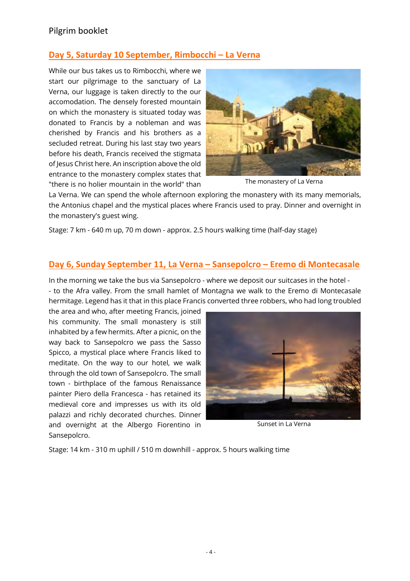## **Day 5, Saturday 10 September, Rimbocchi – La Verna**

While our bus takes us to Rimbocchi, where we start our pilgrimage to the sanctuary of La Verna, our luggage is taken directly to the our accomodation. The densely forested mountain on which the monastery is situated today was donated to Francis by a nobleman and was cherished by Francis and his brothers as a secluded retreat. During his last stay two years before his death, Francis received the stigmata of Jesus Christ here. An inscription above the old entrance to the monastery complex states that "there is no holier mountain in the world" than



The monastery of La Verna

La Verna. We can spend the whole afternoon exploring the monastery with its many memorials, the Antonius chapel and the mystical places where Francis used to pray. Dinner and overnight in the monastery's guest wing.

Stage: 7 km - 640 m up, 70 m down - approx. 2.5 hours walking time (half-day stage)

#### **Day 6, Sunday September 11, La Verna – Sansepolcro – Eremo di Montecasale**

In the morning we take the bus via Sansepolcro - where we deposit our suitcases in the hotel - - to the Afra valley. From the small hamlet of Montagna we walk to the Eremo di Montecasale hermitage. Legend has it that in this place Francis converted three robbers, who had long troubled

the area and who, after meeting Francis, joined his community. The small monastery is still inhabited by a few hermits. After a picnic, on the way back to Sansepolcro we pass the Sasso Spicco, a mystical place where Francis liked to meditate. On the way to our hotel, we walk through the old town of Sansepolcro. The small town - birthplace of the famous Renaissance painter Piero della Francesca - has retained its medieval core and impresses us with its old palazzi and richly decorated churches. Dinner and overnight at the Albergo Fiorentino in Sansepolcro.



Sunset in La Verna

Stage: 14 km - 310 m uphill / 510 m downhill - approx. 5 hours walking time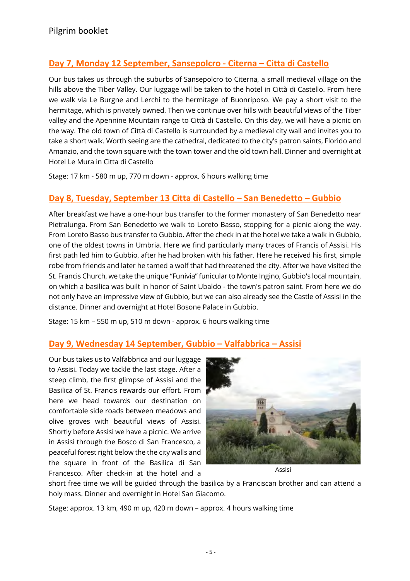## **Day 7, Monday 12 September, Sansepolcro - Citerna – Citta di Castello**

Our bus takes us through the suburbs of Sansepolcro to Citerna, a small medieval village on the hills above the Tiber Valley. Our luggage will be taken to the hotel in Città di Castello. From here we walk via Le Burgne and Lerchi to the hermitage of Buonriposo. We pay a short visit to the hermitage, which is privately owned. Then we continue over hills with beautiful views of the Tiber valley and the Apennine Mountain range to Città di Castello. On this day, we will have a picnic on the way. The old town of Città di Castello is surrounded by a medieval city wall and invites you to take a short walk. Worth seeing are the cathedral, dedicated to the city's patron saints, Florido and Amanzio, and the town square with the town tower and the old town hall. Dinner and overnight at Hotel Le Mura in Citta di Castello

Stage: 17 km - 580 m up, 770 m down - approx. 6 hours walking time

## **Day 8, Tuesday, September 13 Citta di Castello – San Benedetto – Gubbio**

After breakfast we have a one-hour bus transfer to the former monastery of San Benedetto near Pietralunga. From San Benedetto we walk to Loreto Basso, stopping for a picnic along the way. From Loreto Basso bus transfer to Gubbio. After the check in at the hotel we take a walk in Gubbio, one of the oldest towns in Umbria. Here we find particularly many traces of Francis of Assisi. His first path led him to Gubbio, after he had broken with his father. Here he received his first, simple robe from friends and later he tamed a wolf that had threatened the city. After we have visited the St. Francis Church, we take the unique "Funivia" funicular to Monte Ingino, Gubbio's local mountain, on which a basilica was built in honor of Saint Ubaldo - the town's patron saint. From here we do not only have an impressive view of Gubbio, but we can also already see the Castle of Assisi in the distance. Dinner and overnight at Hotel Bosone Palace in Gubbio.

Stage: 15 km – 550 m up, 510 m down - approx. 6 hours walking time

## **Day 9, Wednesday 14 September, Gubbio – Valfabbrica – Assisi**

Our bus takes us to Valfabbrica and our luggage to Assisi. Today we tackle the last stage. After a steep climb, the first glimpse of Assisi and the Basilica of St. Francis rewards our effort. From here we head towards our destination on comfortable side roads between meadows and olive groves with beautiful views of Assisi. Shortly before Assisi we have a picnic. We arrive in Assisi through the Bosco di San Francesco, a peaceful forest right below the the city walls and the square in front of the Basilica di San Francesco. After check-in at the hotel and a



Assisi

short free time we will be guided through the basilica by a Franciscan brother and can attend a holy mass. Dinner and overnight in Hotel San Giacomo.

Stage: approx. 13 km, 490 m up, 420 m down – approx. 4 hours walking time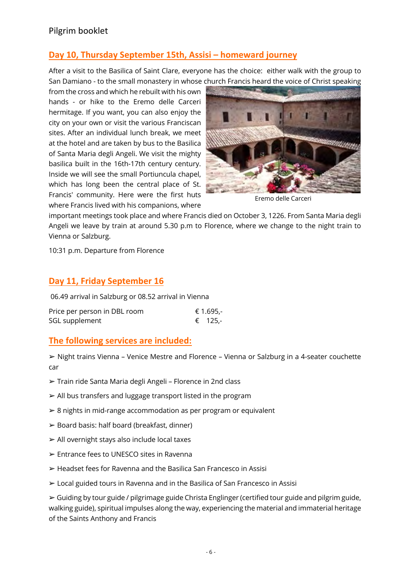## **Day 10, Thursday September 15th, Assisi – homeward journey**

After a visit to the Basilica of Saint Clare, everyone has the choice: either walk with the group to San Damiano - to the small monastery in whose church Francis heard the voice of Christ speaking

from the cross and which he rebuilt with his own hands - or hike to the Eremo delle Carceri hermitage. If you want, you can also enjoy the city on your own or visit the various Franciscan sites. After an individual lunch break, we meet at the hotel and are taken by bus to the Basilica of Santa Maria degli Angeli. We visit the mighty basilica built in the 16th-17th century century. Inside we will see the small Portiuncula chapel, which has long been the central place of St. Francis' community. Here were the first huts where Francis lived with his companions, where



Eremo delle Carceri

important meetings took place and where Francis died on October 3, 1226. From Santa Maria degli Angeli we leave by train at around 5.30 p.m to Florence, where we change to the night train to Vienna or Salzburg.

10:31 p.m. Departure from Florence

#### **Day 11, Friday September 16**

06.49 arrival in Salzburg or 08.52 arrival in Vienna

| Price per person in DBL room | € 1.695,- |
|------------------------------|-----------|
| SGL supplement               | € 125.-   |

#### **The following services are included:**

➢ Night trains Vienna – Venice Mestre and Florence – Vienna or Salzburg in a 4-seater couchette car

- ➢ Train ride Santa Maria degli Angeli Florence in 2nd class
- ➢ All bus transfers and luggage transport listed in the program
- ➢ 8 nights in mid-range accommodation as per program or equivalent
- $\triangleright$  Board basis: half board (breakfast, dinner)
- ➢ All overnight stays also include local taxes
- ➢ Entrance fees to UNESCO sites in Ravenna
- ➢ Headset fees for Ravenna and the Basilica San Francesco in Assisi
- ➢ Local guided tours in Ravenna and in the Basilica of San Francesco in Assisi

➢ Guiding by tour guide / pilgrimage guide Christa Englinger (certified tour guide and pilgrim guide, walking guide), spiritual impulses along the way, experiencing the material and immaterial heritage of the Saints Anthony and Francis